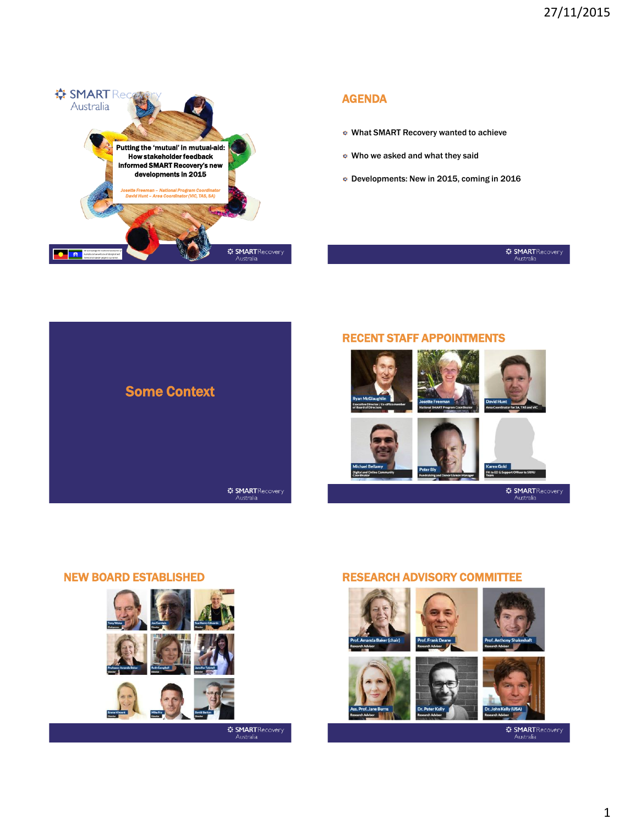

## AGENDA

- What SMART Recovery wanted to achieve
- Who we asked and what they said
- Developments: New in 2015, coming in 2016

# **# SMART** Recovery





**EXART Recovery**<br>Australia

## NEW BOARD ESTABLISHED RESEARCH ADVISORY COMMITTEE





**‡F SMART** Recovery Australia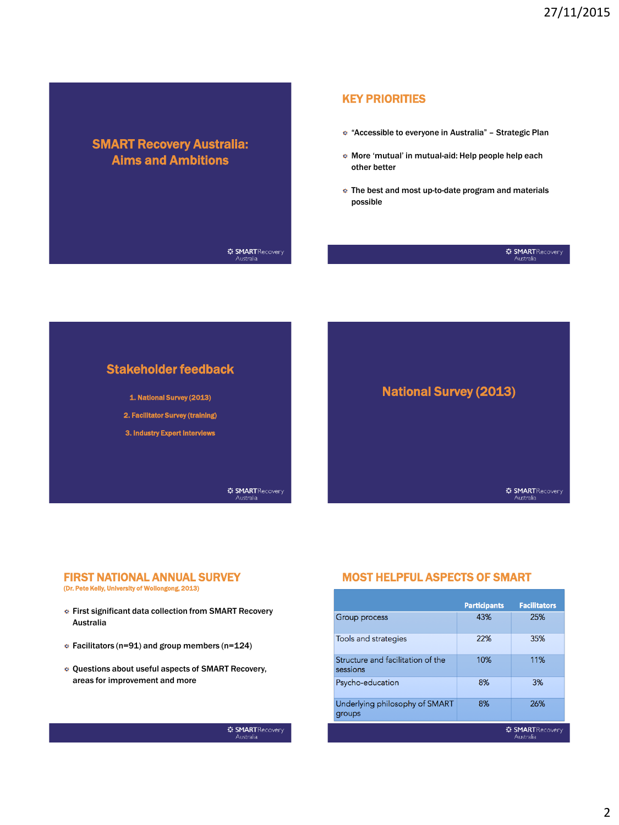# SMART Recovery Australia: Aims and Ambitions

### KEY PRIORITIES

- <sup>\*</sup> "Accessible to everyone in Australia" Strategic Plan
- More 'mutual' in mutual-aid: Help people help each other better
- $\bullet$  The best and most up-to-date program and materials possible

#### $\frac{1}{2}$ **: SMART** Recovery Australia

#### $\frac{1}{2}$ **: SMART** Recovery Australia



# FIRST NATIONAL ANNUAL SURVEY

(Dr. Pete Kelly, University of Wollongong, 2013)

- **Eirst significant data collection from SMART Recovery** Australia
- $\epsilon$  Facilitators (n=91) and group members (n=124)
- Questions about useful aspects of SMART Recovery, areas for improvement and more

Australia

## MOST HELPFUL ASPECTS OF SMART

|                                               | <b>Participants</b> | <b>Facilitators</b>                                         |
|-----------------------------------------------|---------------------|-------------------------------------------------------------|
| Group process                                 | 43%                 | 25%                                                         |
| Tools and strategies                          | 22%                 | 35%                                                         |
| Structure and facilitation of the<br>sessions | 10%                 | 11%                                                         |
| Psycho-education                              | 8%                  | 3%                                                          |
| Underlying philosophy of SMART<br>groups      | 8%                  | 26%                                                         |
|                                               |                     | <b><math>\bigoplus</math> SMART</b> Recovery<br>Arrest Made |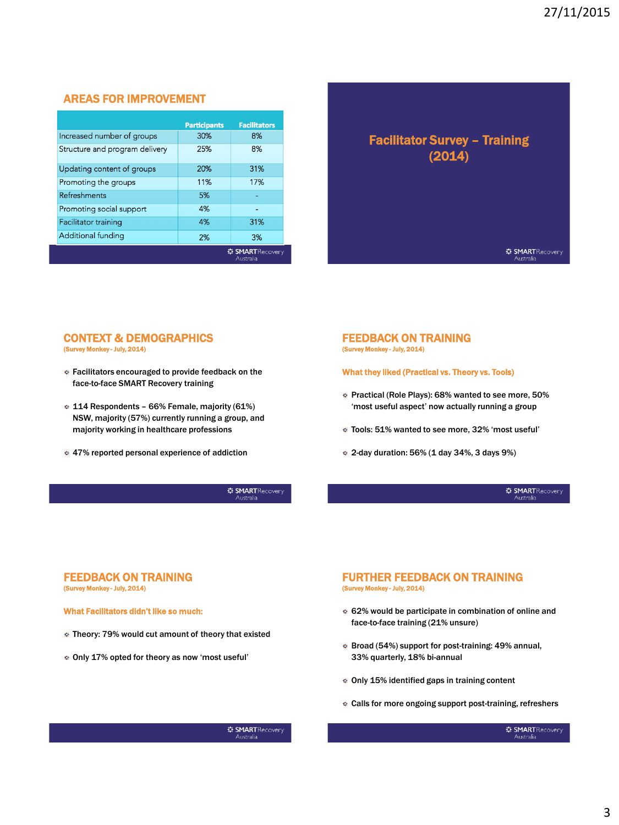### AREAS FOR IMPROVEMENT

|                                | <b>Participants</b> | <b>Facilitators</b>                  |
|--------------------------------|---------------------|--------------------------------------|
| Increased number of groups     | 30%                 | 8%                                   |
| Structure and program delivery | 25%                 | 8%                                   |
| Updating content of groups     | 20%                 | 31%                                  |
| Promoting the groups           | 11%                 | 17%                                  |
| <b>Refreshments</b>            | 5%                  |                                      |
| Promoting social support       | 4%                  |                                      |
| Facilitator training           | 4%                  | 31%                                  |
| Additional funding             | 2%                  | 3%                                   |
|                                |                     | 章 <b>SMART</b> Recovery<br>Australia |

## Facilitator Survey – Training (2014)

**WE SMARTRecovery** Australia

#### CONTEXT & DEMOGRAPHICS (Survey Monkey - July, 2014)

- **EXECUTE:** Facilitators encouraged to provide feedback on the face-to-face SMART Recovery training
- 114 Respondents 66% Female, majority (61%) NSW, majority (57%) currently running a group, and majority working in healthcare professions
- 47% reported personal experience of addiction

 $\frac{1}{2}$ **: SMART**Recovery Australia

#### FEEDBACK ON TRAINING (Survey Monkey - July, 2014)

What they liked (Practical vs. Theory vs. Tools)

- **Practical (Role Plays): 68% wanted to see more, 50%** 'most useful aspect' now actually running a group
- Tools: 51% wanted to see more, 32% 'most useful'
- $\approx$  2-day duration: 56% (1 day 34%, 3 days 9%)

 $\div$  **SMART** Recovery Australia

#### FEEDBACK ON TRAINING (Survey Monkey - July, 2014)

What Facilitators didn't like so much:

- Theory: 79% would cut amount of theory that existed
- Only 17% opted for theory as now 'most useful'

#### FURTHER FEEDBACK ON TRAINING (Survey Monkey - July, 2014)

- 62% would be participate in combination of online and face-to-face training (21% unsure)
- Broad (54%) support for post-training: 49% annual, 33% quarterly, 18% bi-annual
- Only 15% identified gaps in training content
- Calls for more ongoing support post-training, refreshers

 $\frac{1}{2}$ **: SMART**Recovery Australia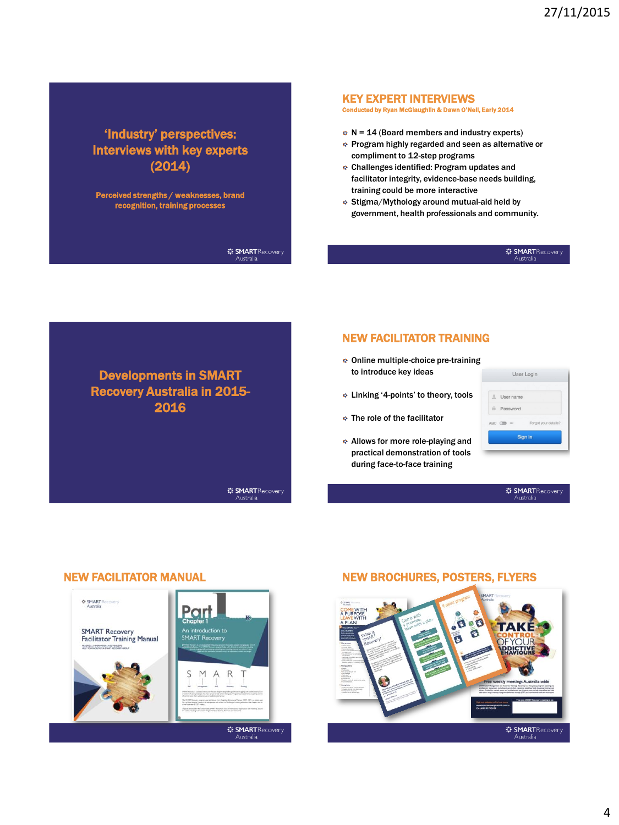# 'Industry' perspectives: Interviews with key experts (2014)

Perceived strengths / weaknesses, brand recognition, training processes

> $\frac{1}{2}$ **: SMART** Recovery ---------<br>Australia

> $\frac{1}{2}$ **: SMART** Recovery

Australia

#### KEY EXPERT INTERVIEWS

Conducted by Ryan McGlaughlin & Dawn O'Neil, Early 2014

- $N = 14$  (Board members and industry experts)
- **Program highly regarded and seen as alternative or** compliment to 12-step programs
- <sup>c</sup> Challenges identified: Program updates and facilitator integrity, evidence-base needs building, training could be more interactive
- Stigma/Mythology around mutual-aid held by government, health professionals and community.

#### $\frac{1}{2}$ **: SMART** Recovery Australia

# Developments in SMART Recovery Australia in 2015- 2016

## NEW FACILITATOR TRAINING

- Online multiple-choice pre-training to introduce key ideas
- Linking '4-points' to theory, tools
- The role of the facilitator
- Allows for more role-playing and practical demonstration of tools during face-to-face training

|                | User Login            |                      |
|----------------|-----------------------|----------------------|
|                |                       |                      |
|                | $l$ User name         |                      |
|                | <b>i</b> Password     |                      |
|                | ABC <b>OD</b><br>1.14 | Forgot your details? |
| <b>Sign In</b> |                       |                      |

 $\frac{1}{2}$ **: SMART**Recovery Australia